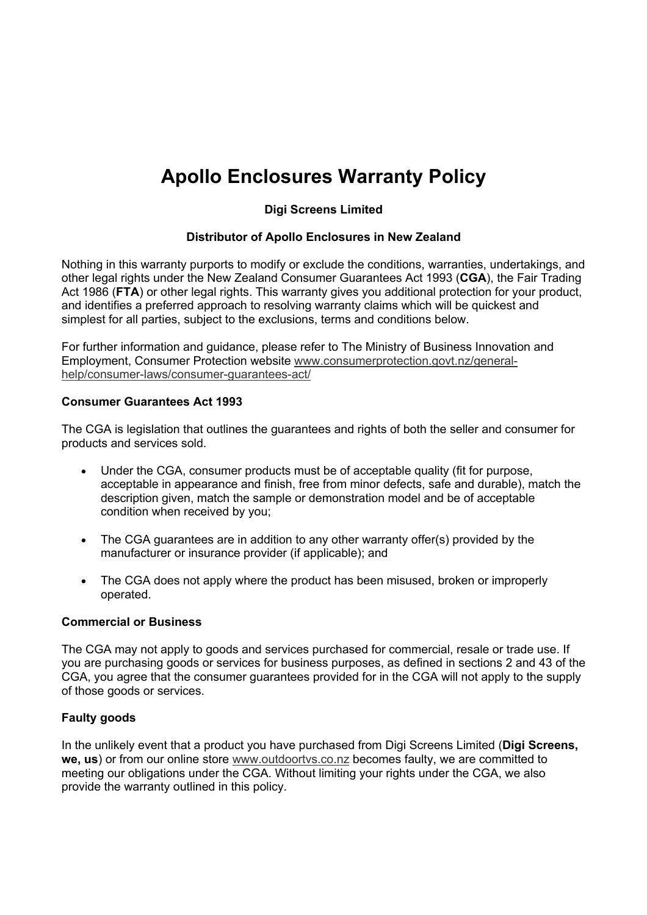# **Apollo Enclosures Warranty Policy**

## **Digi Screens Limited**

## **Distributor of Apollo Enclosures in New Zealand**

Nothing in this warranty purports to modify or exclude the conditions, warranties, undertakings, and other legal rights under the New Zealand Consumer Guarantees Act 1993 (**CGA**), the Fair Trading Act 1986 (FTA) or other legal rights. This warranty gives you additional protection for your product, and identifies a preferred approach to resolving warranty claims which will be quickest and simplest for all parties, subject to the exclusions, terms and conditions below.

For further information and guidance, please refer to The Ministry of Business Innovation and Employment, Consumer Protection website www.consumerprotection.govt.nz/generalhelp/consumer-laws/consumer-guarantees-act/

### **Consumer Guarantees Act 1993**

The CGA is legislation that outlines the guarantees and rights of both the seller and consumer for products and services sold.

- Under the CGA, consumer products must be of acceptable quality (fit for purpose, acceptable in appearance and finish, free from minor defects, safe and durable), match the description given, match the sample or demonstration model and be of acceptable condition when received by you;
- The CGA guarantees are in addition to any other warranty offer(s) provided by the manufacturer or insurance provider (if applicable); and
- The CGA does not apply where the product has been misused, broken or improperly operated.

#### **Commercial or Business**

The CGA may not apply to goods and services purchased for commercial, resale or trade use. If you are purchasing goods or services for business purposes, as defined in sections 2 and 43 of the CGA, you agree that the consumer guarantees provided for in the CGA will not apply to the supply of those goods or services.

## **Faulty goods**

In the unlikely event that a product you have purchased from Digi Screens Limited (**Digi Screens, we, us**) or from our online store www.outdoortvs.co.nz becomes faulty, we are committed to meeting our obligations under the CGA. Without limiting your rights under the CGA, we also provide the warranty outlined in this policy.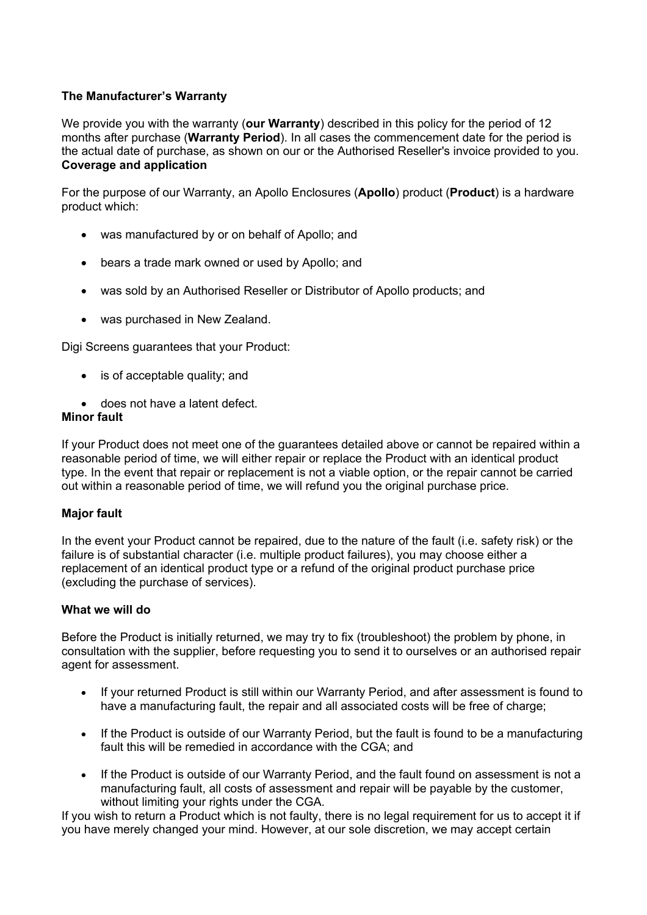## **The Manufacturer's Warranty**

We provide you with the warranty (**our Warranty**) described in this policy for the period of 12 months after purchase (**Warranty Period**). In all cases the commencement date for the period is the actual date of purchase, as shown on our or the Authorised Reseller's invoice provided to you. **Coverage and application**

For the purpose of our Warranty, an Apollo Enclosures (**Apollo**) product (**Product**) is a hardware product which:

- was manufactured by or on behalf of Apollo; and
- bears a trade mark owned or used by Apollo; and
- was sold by an Authorised Reseller or Distributor of Apollo products; and
- was purchased in New Zealand.

Digi Screens guarantees that your Product:

- is of acceptable quality; and
- does not have a latent defect.

## **Minor fault**

If your Product does not meet one of the guarantees detailed above or cannot be repaired within a reasonable period of time, we will either repair or replace the Product with an identical product type. In the event that repair or replacement is not a viable option, or the repair cannot be carried out within a reasonable period of time, we will refund you the original purchase price.

## **Major fault**

In the event your Product cannot be repaired, due to the nature of the fault (i.e. safety risk) or the failure is of substantial character (i.e. multiple product failures), you may choose either a replacement of an identical product type or a refund of the original product purchase price (excluding the purchase of services).

## **What we will do**

Before the Product is initially returned, we may try to fix (troubleshoot) the problem by phone, in consultation with the supplier, before requesting you to send it to ourselves or an authorised repair agent for assessment.

- If your returned Product is still within our Warranty Period, and after assessment is found to have a manufacturing fault, the repair and all associated costs will be free of charge;
- If the Product is outside of our Warranty Period, but the fault is found to be a manufacturing fault this will be remedied in accordance with the CGA; and
- If the Product is outside of our Warranty Period, and the fault found on assessment is not a manufacturing fault, all costs of assessment and repair will be payable by the customer, without limiting your rights under the CGA.

If you wish to return a Product which is not faulty, there is no legal requirement for us to accept it if you have merely changed your mind. However, at our sole discretion, we may accept certain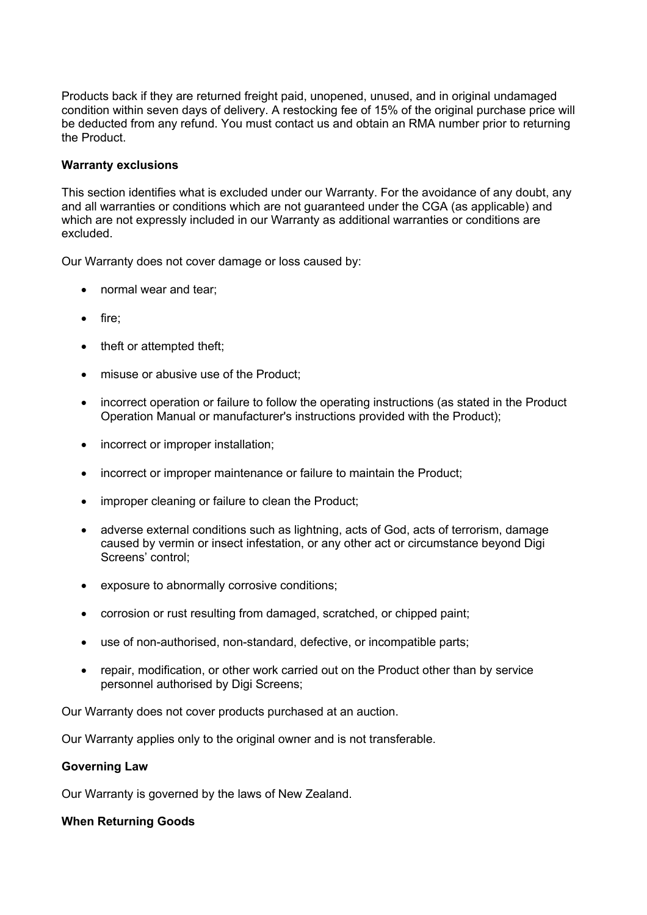Products back if they are returned freight paid, unopened, unused, and in original undamaged condition within seven days of delivery. A restocking fee of 15% of the original purchase price will be deducted from any refund. You must contact us and obtain an RMA number prior to returning the Product.

#### **Warranty exclusions**

This section identifies what is excluded under our Warranty. For the avoidance of any doubt, any and all warranties or conditions which are not guaranteed under the CGA (as applicable) and which are not expressly included in our Warranty as additional warranties or conditions are excluded.

Our Warranty does not cover damage or loss caused by:

- normal wear and tear;
- fire;
- theft or attempted theft;
- misuse or abusive use of the Product;
- incorrect operation or failure to follow the operating instructions (as stated in the Product Operation Manual or manufacturer's instructions provided with the Product);
- incorrect or improper installation;
- incorrect or improper maintenance or failure to maintain the Product;
- improper cleaning or failure to clean the Product;
- adverse external conditions such as lightning, acts of God, acts of terrorism, damage caused by vermin or insect infestation, or any other act or circumstance beyond Digi Screens' control;
- exposure to abnormally corrosive conditions;
- corrosion or rust resulting from damaged, scratched, or chipped paint;
- use of non-authorised, non-standard, defective, or incompatible parts;
- repair, modification, or other work carried out on the Product other than by service personnel authorised by Digi Screens;

Our Warranty does not cover products purchased at an auction.

Our Warranty applies only to the original owner and is not transferable.

#### **Governing Law**

Our Warranty is governed by the laws of New Zealand.

#### **When Returning Goods**